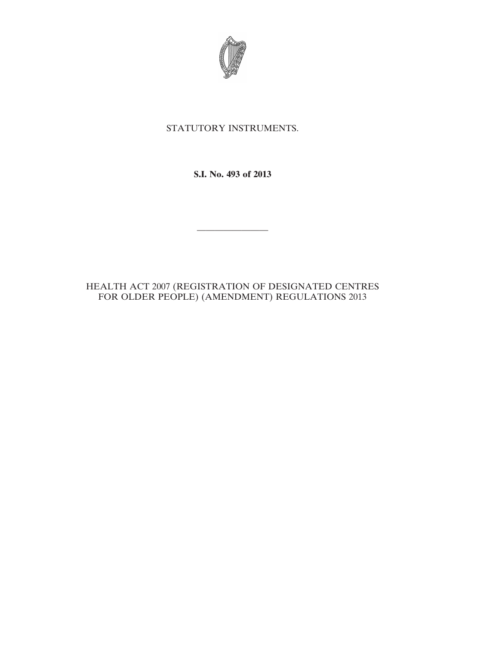

# STATUTORY INSTRUMENTS.

**S.I. No. 493 of 2013**

————————

## HEALTH ACT 2007 (REGISTRATION OF DESIGNATED CENTRES FOR OLDER PEOPLE) (AMENDMENT) REGULATIONS 2013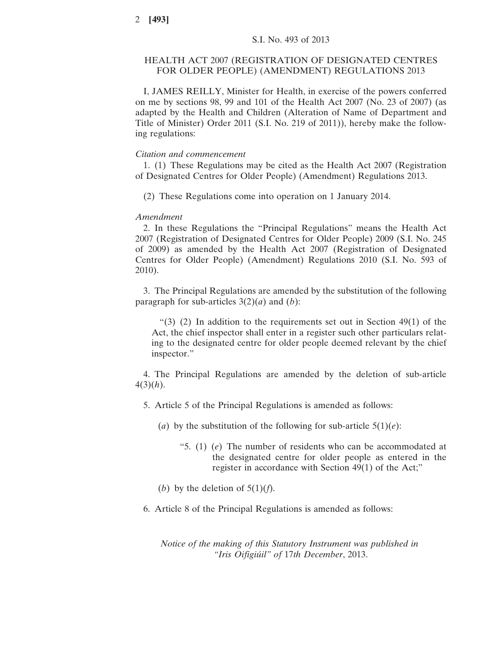### HEALTH ACT 2007 (REGISTRATION OF DESIGNATED CENTRES FOR OLDER PEOPLE) (AMENDMENT) REGULATIONS 2013

I, JAMES REILLY, Minister for Health, in exercise of the powers conferred on me by sections 98, 99 and 101 of the Health Act 2007 (No. 23 of 2007) (as adapted by the Health and Children (Alteration of Name of Department and Title of Minister) Order 2011 (S.I. No. 219 of 2011)), hereby make the following regulations:

#### *Citation and commencement*

1. (1) These Regulations may be cited as the Health Act 2007 (Registration of Designated Centres for Older People) (Amendment) Regulations 2013.

(2) These Regulations come into operation on 1 January 2014.

#### *Amendment*

2. In these Regulations the "Principal Regulations" means the Health Act 2007 (Registration of Designated Centres for Older People) 2009 (S.I. No. 245 of 2009) as amended by the Health Act 2007 (Registration of Designated Centres for Older People) (Amendment) Regulations 2010 (S.I. No. 593 of 2010).

3. The Principal Regulations are amended by the substitution of the following paragraph for sub-articles 3(2)(*a*) and (*b*):

"(3) (2) In addition to the requirements set out in Section 49(1) of the Act, the chief inspector shall enter in a register such other particulars relating to the designated centre for older people deemed relevant by the chief inspector."

4. The Principal Regulations are amended by the deletion of sub-article 4(3)(*h*).

- 5. Article 5 of the Principal Regulations is amended as follows:
	- (*a*) by the substitution of the following for sub-article  $5(1)(e)$ :
		- "5. (1) (*e*) The number of residents who can be accommodated at the designated centre for older people as entered in the register in accordance with Section 49(1) of the Act;"
	- (*b*) by the deletion of  $5(1)(f)$ .
- 6. Article 8 of the Principal Regulations is amended as follows:

*Notice of the making of this Statutory Instrument was published in "Iris Oifigiúil" of* 17*th December*, 2013.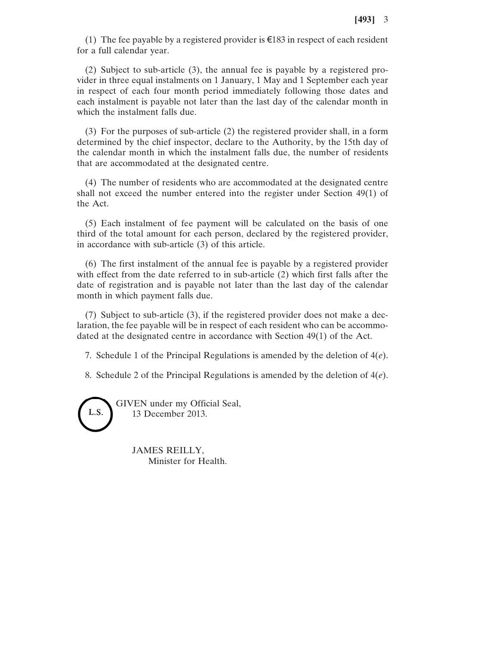(1) The fee payable by a registered provider is  $\epsilon$ 183 in respect of each resident for a full calendar year.

(2) Subject to sub-article (3), the annual fee is payable by a registered provider in three equal instalments on 1 January, 1 May and 1 September each year in respect of each four month period immediately following those dates and each instalment is payable not later than the last day of the calendar month in which the instalment falls due.

(3) For the purposes of sub-article (2) the registered provider shall, in a form determined by the chief inspector, declare to the Authority, by the 15th day of the calendar month in which the instalment falls due, the number of residents that are accommodated at the designated centre.

(4) The number of residents who are accommodated at the designated centre shall not exceed the number entered into the register under Section 49(1) of the Act.

(5) Each instalment of fee payment will be calculated on the basis of one third of the total amount for each person, declared by the registered provider, in accordance with sub-article (3) of this article.

(6) The first instalment of the annual fee is payable by a registered provider with effect from the date referred to in sub-article (2) which first falls after the date of registration and is payable not later than the last day of the calendar month in which payment falls due.

(7) Subject to sub-article (3), if the registered provider does not make a declaration, the fee payable will be in respect of each resident who can be accommodated at the designated centre in accordance with Section 49(1) of the Act.

7. Schedule 1 of the Principal Regulations is amended by the deletion of 4(*e*).

8. Schedule 2 of the Principal Regulations is amended by the deletion of 4(*e*).

GIVEN under my Official Seal, L.S. 13 December 2013.

> JAMES REILLY, Minister for Health.